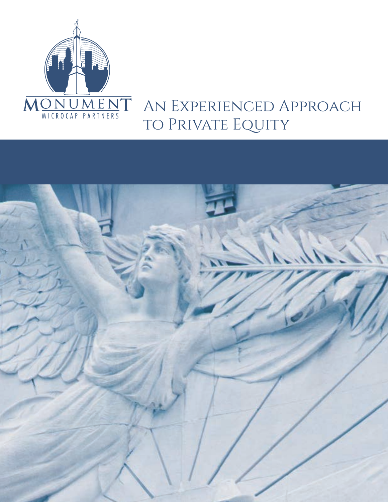

## An Experienced Approach to Private Equity

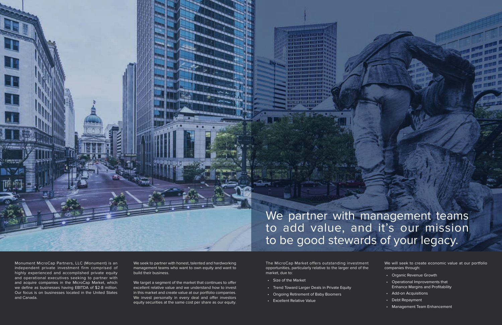

We partner with management teams to add value, and it's our mission to be good stewards of your legacy.

Monument MicroCap Partners, LLC (Monument) is an independent private investment firm comprised of highly experienced and accomplished private equity and operational executives seeking to partner with and acquire companies in the MicroCap Market, which we define as businesses having EBITDA of \$2-8 million. Our focus is on businesses located in the United States and Canada.

We seek to partner with honest, talented and hardworking management teams who want to own equity and want to build their business.

We target a segment of the market that continues to offer excellent relative value and we understand how to invest in this market and create value at our portfolio companies. We invest personally in every deal and offer investors equity securities at the same cost per share as our equity.

The MicroCap Market offers outstanding investment opportunities, particularly relative to the larger end of the market, due to:

- Size of the Market
- Trend Toward Larger Deals in Private Equity
- Ongoing Retirement of Baby Boomers
- Excellent Relative Value

We will seek to create economic value at our portfolio companies through:

- Organic Revenue Growth
- Operational Improvements that Enhance Margins and Profitability
- Add-on Acquisitions
- Debt Repayment
- Management Team Enhancement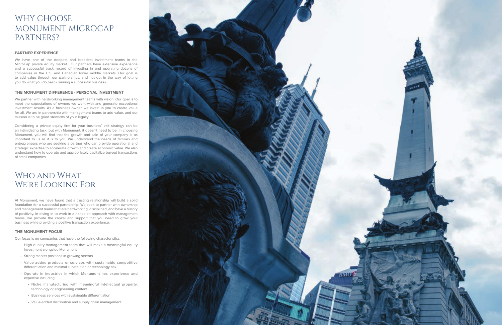## WHY CHOOSE MONUMENT MICROCAP PARTNERS?

#### **PARTNER EXPERIENCE**

We have one of the deepest and broadest investment teams in the MicroCap private equity market. Our partners have extensive experience and a successful track record of investing in and operating dozens of companies in the U.S. and Canadian lower middle markets. Our goal is to add value through our partnerships, and not get in the way of letting you do what you do best - running a successful business.

#### **THE MONUMENT DIFFERENCE - PERSONAL INVESTMENT**

We partner with hardworking management teams with vision. Our goal is to meet the expectations of owners we work with and generate exceptional investment results. As a business owner, we invest in you to create value for all. We are in partnership with management teams to add value, and our mission is to be good stewards of your legacy.

## WHO AND WHAT We're Looking For

Considering a private equity firm for your business' exit strategy can be an intimidating task, but with Monument, it doesn't need to be. In choosing Monument, you will find that the growth and sale of your company is as important to us as it is to you. We understand the needs of families and entrepreneurs who are seeking a partner who can provide operational and strategic expertise to accelerate growth and create economic value. We also understand how to operate and appropriately capitalize buyout transactions of small companies.

At Monument, we have found that a trusting relationship will build a solid foundation for a successful partnership. We seek to partner with ownership and management teams that are hardworking, disciplined, and have a history of positivity. In diving in to work in a hands-on approach with management teams, we provide the capital and support that you need to grow your business while providing a positive transaction experience.

#### **THE MONUMENT FOCUS**

Our focus is on companies that have the following characteristics:

- High-quality management team that will make a meaningful equity investment alongside Monument
- Strong market positions in growing sectors
- Value-added products or services with sustainable competitive differentiation and minimal substitution or technology risk
- Operate in industries in which Monument has experience and expertise including:
	- Niche manufacturing with meaningful intellectual property, technology or engineering content
	- Business services with sustainable differentiation
	- Value-added distribution and supply chain management

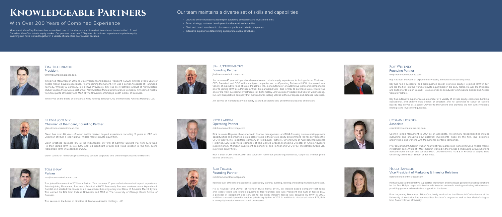

Tim Hildebrand President tim@monumentmicrocap.com

Tim joined Monument in 2019 as Vice President and became President in 2021. Tim has over 8 years of middle market buyout experience. Prior to joining Monument, Tim was a Senior Associate at Hammond, Kennedy, Whitney & Company, Inc. (HKW). Previously, Tim was an investment analyst at Northwestern Mutual Capital, the private asset arm of Northwestern Mutual Life Insurance Company. Tim earned his B.S. from Marquette University and MBA at The University of Chicago Booth School of Business.

Tim serves on the board of directors at Kelly Roofing, Synergy IOM, and Renovate America Holdings, LLC.



## Glenn Scolnik Chairman of the Board, Founding Partner glenn@monumentmicrocap.com

Glenn has over 40 years of lower middle market buyout experience, including 11 years as CEO and Chairman of HKW, a leading lower middle market private equity firm.

Glenn practiced business law at the Indianapolis law firm of Sommer Barnard PC from 1978-1992. He then joined HKW in late 1992 and led significant growth and value creation at the firm. Glenn retired from HKW in December of 2017.

Glenn serves on numerous private equity-backed, corporate and philanthropic boards of directors.



## **TOM SHAW**

Partner

tom@monumentmicrocap.com

Tom joined Monument in 2021 as a Partner. Tom has over 10 years of middle market buyout experience. Prior to joining Monument, Tom was a Principal at HKW. Previously, Tom was an Associate at Wynnchurch Capital and started his career as an investment banking analyst at Bank of America Merrill Lynch. Tom earned his B.S. from Indiana University and MBA at The University of Chicago Booth School of Business.

Tom serves on the board of directors at Renovate America Holdings, LLC.



## ROB TROXEL Founding Partner

Monument MicroCap Partners has assembled one of the deepest and broadest investment teams in the U.S. and Canadian MicroCap private equity market. Our partners have over 200 years of combined experience in private equity investing and have worked together in a variety of capacities over several decades.

## Jim Futterknecht Founding Partner

jim@monumentmicrocap.com

### ROY WHITNEY Founding Partner roy@monumentmicrocap.com

Jim has over 40 years of operational executive and private equity experience, including roles as Chairman, CEO, President and COO within multiple companies and as Operating Partner at HKW. Jim served in a variety of executive roles at Excel Industries, Inc., a manufacturer of automotive parts and components prior to joining HKW as a Partner in 1999. Jim partnered with HKW in 1983 to purchase Excel, which was one of the most successful investments in HKW's history. Jim was also President and CEO of Visioneering, Inc., an HKW portfolio company that manufactures tooling utilized in the aerospace and defense industries.

Jim serves on numerous private equity-backed, corporate and philanthropic boards of directors.



## Rick Larkin Operating Partner

rick@monumentmicrocap.com

Rick has over 40 years of experience in finance, management, and M&A focusing on maximizing growth opportunities and enhancing stakeholder value in the private equity environment. He has served as the CFO of Xeeva, Inc. (a portfolio company of PeakEquity Partners), VP and CFO of AxelTech International Holdings, LLC (a portfolio company of The Carlyle Group), Managing Director at Angle Advisors (a Birmingham, Michigan investment banking firm) and Partner and CFO of GR Investment Group Ltd. (a private equity firm).

Rick is both a CPA and a CGMA and serves on numerous private equity backed, corporate and non-profit



boards of directors.

rob@monumentmicrocap.com

Rob has over 30 years of experience successfully starting, building, leading and exiting multiple businesses.

He is Founder and Owner of Premier Truck Rental (PTR), an Indiana-based company that rents and leases trucks and related equipment. Rob founded, and was President and CEO of Nesco LLC, a provider of equipment and services to the utility industry. Nesco was acquired by HKW in 2007, and then successfully sold to another private equity firm in 2011. In addition to his current role at PTR, Rob is an equity investor in several small businesses.



- 
- 

# **Knowledgeable Partners**

## With Over 200 Years of Combined Experience

Roy has over 50 years of experience investing in middle market companies.

Roy has had a successful and distinguished career in private equity. He joined HKW in 1971 and led the firm into the world of private equity back in the early 1980s. He was the President and CEO prior to Glenn Scolnik. He also serves as an advisor to Cheyenne Capital and Access Venture Partners.

Roy has extensive experience as a member of a variety of private equity, corporate, banking, educational, and philanthropic boards of directors and he continues to serve on several boards. Roy serves as a Senior Advisor to Monument and provides the firm with invaluable strategic and investment guidance.



#### Cosmin Dordea Associate

cosmin@monumentmicrocap.com

Cosmin joined Monument in 2021 as an Associate. His primary responsibilities include evaluating and analyzing new potential investments made by the firm, due diligence, underwriting, and working with Monument's portfolio companies.

Prior to Monument, Cosmin was an Analyst at P&M Corporate Finance (PMCF), a middle-market investment bank. While at PMCF, Cosmin worked in the Plastics & Packaging Group where he advised clients on buy- and sell-side M&A. Cosmin earned his B.S. in Finance at Wayne State University's Mike Ilitch School of Business.



## Holly Sandlin Vice President of Marketing & Investor Relations

holly@monumentmicrocap.com

Holly provides administrative support for Monument and manages general marketing functions for the firm. Holly's responsibilities include investor outreach, leading marketing initiatives and providing general administrative support for the team.

Prior to joining Monument MicroCap, Holly worked as the Financial Ombudsman at the University of Kentucky. She received her Bachelor's degree as well as her Master's degree from Eastern Illinois University.

## Our team maintains a diverse set of skills and capabilities

- CEO and other executive leadership of operating companies and investment firms
- Broad strategy, business development and operational expertise
- Chair and board membership of numerous public and private companies
- Extensive experience determining appropriate capital structures